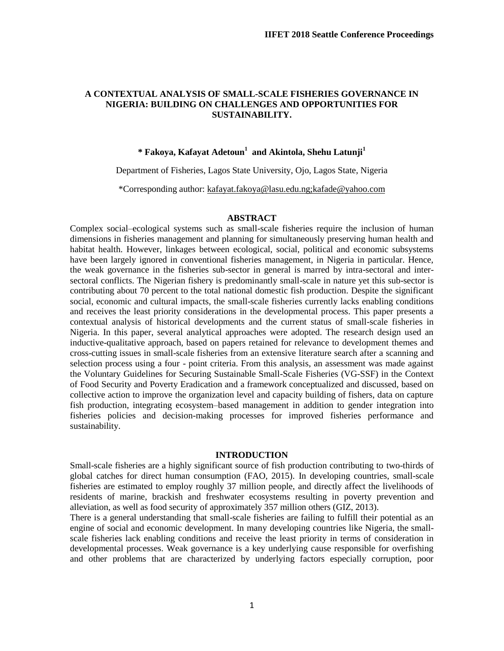#### **A CONTEXTUAL ANALYSIS OF SMALL-SCALE FISHERIES GOVERNANCE IN NIGERIA: BUILDING ON CHALLENGES AND OPPORTUNITIES FOR SUSTAINABILITY.**

# **\* Fakoya, Kafayat Adetoun 1 and Akintola, Shehu Latunji 1**

Department of Fisheries, Lagos State University, Ojo, Lagos State, Nigeria

\*Corresponding author: [kafayat.fakoya@lasu.edu.ng;kafade@yahoo.com](mailto:kafayat.fakoya@lasu.edu.ng;kafade@yahoo.com)

#### **ABSTRACT**

Complex social–ecological systems such as small-scale fisheries require the inclusion of human dimensions in fisheries management and planning for simultaneously preserving human health and habitat health. However, linkages between ecological, social, political and economic subsystems have been largely ignored in conventional fisheries management, in Nigeria in particular. Hence, the weak governance in the fisheries sub-sector in general is marred by intra-sectoral and intersectoral conflicts. The Nigerian fishery is predominantly small-scale in nature yet this sub-sector is contributing about 70 percent to the total national domestic fish production. Despite the significant social, economic and cultural impacts, the small-scale fisheries currently lacks enabling conditions and receives the least priority considerations in the developmental process. This paper presents a contextual analysis of historical developments and the current status of small-scale fisheries in Nigeria. In this paper, several analytical approaches were adopted. The research design used an inductive-qualitative approach, based on papers retained for relevance to development themes and cross-cutting issues in small-scale fisheries from an extensive literature search after a scanning and selection process using a four - point criteria. From this analysis, an assessment was made against the Voluntary Guidelines for Securing Sustainable Small-Scale Fisheries (VG-SSF) in the Context of Food Security and Poverty Eradication and a framework conceptualized and discussed, based on collective action to improve the organization level and capacity building of fishers, data on capture fish production, integrating ecosystem–based management in addition to gender integration into fisheries policies and decision-making processes for improved fisheries performance and sustainability.

#### **INTRODUCTION**

Small-scale fisheries are a highly significant source of fish production contributing to two-thirds of global catches for direct human consumption (FAO, 2015). In developing countries, small-scale fisheries are estimated to employ roughly 37 million people, and directly affect the livelihoods of residents of marine, brackish and freshwater ecosystems resulting in poverty prevention and alleviation, as well as food security of approximately 357 million others (GIZ, 2013).

There is a general understanding that small-scale fisheries are failing to fulfill their potential as an engine of social and economic development. In many developing countries like Nigeria, the smallscale fisheries lack enabling conditions and receive the least priority in terms of consideration in developmental processes. Weak governance is a key underlying cause responsible for overfishing and other problems that are characterized by underlying factors especially corruption, poor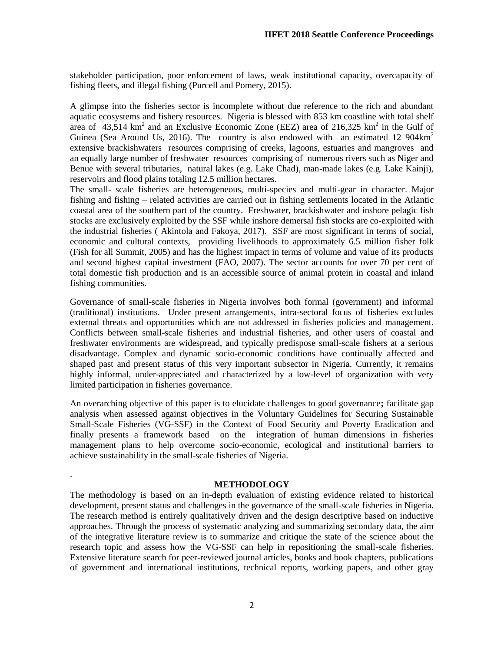stakeholder participation, poor enforcement of laws, weak institutional capacity, overcapacity of fishing fleets, and illegal fishing (Purcell and Pomery, 2015).

A glimpse into the fisheries sector is incomplete without due reference to the rich and abundant aquatic ecosystems and fishery resources. Nigeria is blessed with 853 km coastline with total shelf area of 43,514 km<sup>2</sup> and an Exclusive Economic Zone (EEZ) area of 216,325 km<sup>2</sup> in the Gulf of Guinea (Sea Around Us, 2016). The country is also endowed with an estimated 12 904 $km^2$ extensive brackishwaters resources comprising of creeks, lagoons, estuaries and mangroves and an equally large number of freshwater resources comprising of numerous rivers such as Niger and Benue with several tributaries, natural lakes (e.g. Lake Chad), man-made lakes (e.g. Lake Kainji), reservoirs and flood plains totaling 12.5 million hectares.

The small- scale fisheries are heterogeneous, multi-species and multi-gear in character. Major fishing and fishing – related activities are carried out in fishing settlements located in the Atlantic coastal area of the southern part of the country. Freshwater, brackishwater and inshore pelagic fish stocks are exclusively exploited by the SSF while inshore demersal fish stocks are co-exploited with the industrial fisheries ( Akintola and Fakoya, 2017). SSF are most significant in terms of social, economic and cultural contexts, providing livelihoods to approximately 6.5 million fisher folk (Fish for all Summit, 2005) and has the highest impact in terms of volume and value of its products and second highest capital investment (FAO, 2007). The sector accounts for over 70 per cent of total domestic fish production and is an accessible source of animal protein in coastal and inland fishing communities.

Governance of small-scale fisheries in Nigeria involves both formal (government) and informal (traditional) institutions. Under present arrangements, intra-sectoral focus of fisheries excludes external threats and opportunities which are not addressed in fisheries policies and management. Conflicts between small-scale fisheries and industrial fisheries, and other users of coastal and freshwater environments are widespread, and typically predispose small-scale fishers at a serious disadvantage. Complex and dynamic socio-economic conditions have continually affected and shaped past and present status of this very important subsector in Nigeria. Currently, it remains highly informal, under-appreciated and characterized by a low-level of organization with very limited participation in fisheries governance.

An overarching objective of this paper is to elucidate challenges to good governance**;** facilitate gap analysis when assessed against objectives in the Voluntary Guidelines for Securing Sustainable Small-Scale Fisheries (VG-SSF) in the Context of Food Security and Poverty Eradication and finally presents a framework based on the integration of human dimensions in fisheries management plans to help overcome socio-economic, ecological and institutional barriers to achieve sustainability in the small-scale fisheries of Nigeria.

#### **METHODOLOGY**

.

The methodology is based on an in-depth evaluation of existing evidence related to historical development, present status and challenges in the governance of the small-scale fisheries in Nigeria. The research method is entirely qualitatively driven and the design descriptive based on inductive approaches. Through the process of systematic analyzing and summarizing secondary data, the aim of the integrative literature review is to summarize and critique the state of the science about the research topic and assess how the VG-SSF can help in repositioning the small-scale fisheries. Extensive literature search for peer-reviewed journal articles, books and book chapters, publications of government and international institutions, technical reports, working papers, and other gray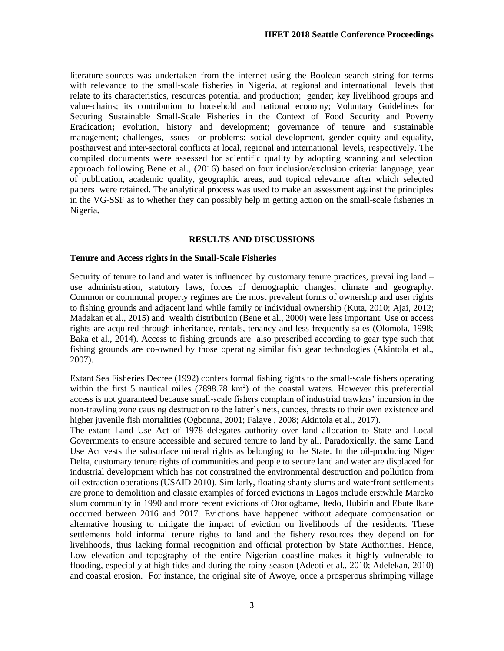literature sources was undertaken from the internet using the Boolean search string for terms with relevance to the small-scale fisheries in Nigeria, at regional and international levels that relate to its characteristics, resources potential and production; gender; key livelihood groups and value-chains; its contribution to household and national economy; Voluntary Guidelines for Securing Sustainable Small-Scale Fisheries in the Context of Food Security and Poverty Eradication**;** evolution, history and development; governance of tenure and sustainable management; challenges, issues or problems; social development, gender equity and equality, postharvest and inter-sectoral conflicts at local, regional and international levels, respectively. The compiled documents were assessed for scientific quality by adopting scanning and selection approach following Bene et al., (2016) based on four inclusion/exclusion criteria: language, year of publication, academic quality, geographic areas, and topical relevance after which selected papers were retained. The analytical process was used to make an assessment against the principles in the VG-SSF as to whether they can possibly help in getting action on the small-scale fisheries in Nigeria**.**

# **RESULTS AND DISCUSSIONS**

#### **Tenure and Access rights in the Small-Scale Fisheries**

Security of tenure to land and water is influenced by customary tenure practices, prevailing land – use administration, statutory laws, forces of demographic changes, climate and geography. Common or communal property regimes are the most prevalent forms of ownership and user rights to fishing grounds and adjacent land while family or individual ownership (Kuta, 2010; Ajai, 2012; Madakan et al., 2015) and wealth distribution (Bene et al., 2000) were less important. Use or access rights are acquired through inheritance, rentals, tenancy and less frequently sales (Olomola, 1998; Baka et al., 2014). Access to fishing grounds are also prescribed according to gear type such that fishing grounds are co-owned by those operating similar fish gear technologies (Akintola et al., 2007).

Extant Sea Fisheries Decree (1992) confers formal fishing rights to the small-scale fishers operating within the first 5 nautical miles  $(7898.78 \text{ km}^2)$  of the coastal waters. However this preferential access is not guaranteed because small-scale fishers complain of industrial trawlers' incursion in the non-trawling zone causing destruction to the latter's nets, canoes, threats to their own existence and higher juvenile fish mortalities (Ogbonna, 2001; Falaye , 2008; Akintola et al., 2017).

The extant Land Use Act of 1978 delegates authority over land allocation to State and Local Governments to ensure accessible and secured tenure to land by all. Paradoxically, the same Land Use Act vests the subsurface mineral rights as belonging to the State. In the oil-producing Niger Delta, customary tenure rights of communities and people to secure land and water are displaced for industrial development which has not constrained the environmental destruction and pollution from oil extraction operations (USAID 2010). Similarly, floating shanty slums and waterfront settlements are prone to demolition and classic examples of forced evictions in Lagos include erstwhile Maroko slum community in 1990 and more recent evictions of Otodogbame, Itedo, IIubirin and Ebute Ikate occurred between 2016 and 2017. Evictions have happened without adequate compensation or alternative housing to mitigate the impact of eviction on livelihoods of the residents. These settlements hold informal tenure rights to land and the fishery resources they depend on for livelihoods, thus lacking formal recognition and official protection by State Authorities. Hence, Low elevation and topography of the entire Nigerian coastline makes it highly vulnerable to flooding, especially at high tides and during the rainy season (Adeoti et al., 2010; Adelekan, 2010) and coastal erosion. For instance, the original site of Awoye, once a prosperous shrimping village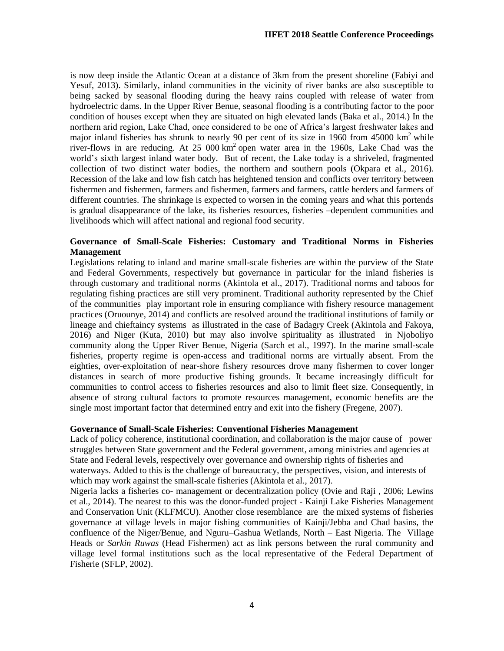is now deep inside the Atlantic Ocean at a distance of 3km from the present shoreline (Fabiyi and Yesuf, 2013). Similarly, inland communities in the vicinity of river banks are also susceptible to being sacked by seasonal flooding during the heavy rains coupled with release of water from hydroelectric dams. In the Upper River Benue, seasonal flooding is a contributing factor to the poor condition of houses except when they are situated on high elevated lands (Baka et al., 2014.) In the northern arid region, Lake Chad, once considered to be one of Africa's largest freshwater lakes and major inland fisheries has shrunk to nearly 90 per cent of its size in 1960 from 45000  $km^2$  while river-flows in are reducing. At 25 000  $km^2$  open water area in the 1960s, Lake Chad was the world's sixth largest inland water body. But of recent, the Lake today is a shriveled, fragmented collection of two distinct water bodies, the northern and southern pools (Okpara et al., 2016). Recession of the lake and low fish catch has heightened tension and conflicts over territory between fishermen and fishermen, farmers and fishermen, farmers and farmers, cattle herders and farmers of different countries. The shrinkage is expected to worsen in the coming years and what this portends is gradual disappearance of the lake, its fisheries resources, fisheries –dependent communities and livelihoods which will affect national and regional food security.

# **Governance of Small-Scale Fisheries: Customary and Traditional Norms in Fisheries Management**

Legislations relating to inland and marine small-scale fisheries are within the purview of the State and Federal Governments, respectively but governance in particular for the inland fisheries is through customary and traditional norms (Akintola et al., 2017). Traditional norms and taboos for regulating fishing practices are still very prominent. Traditional authority represented by the Chief of the communities play important role in ensuring compliance with fishery resource management practices (Oruounye, 2014) and conflicts are resolved around the traditional institutions of family or lineage and chieftaincy systems as illustrated in the case of Badagry Creek (Akintola and Fakoya, 2016) and Niger (Kuta, 2010) but may also involve spirituality as illustrated in Njoboliyo community along the Upper River Benue, Nigeria (Sarch et al., 1997). In the marine small-scale fisheries, property regime is open-access and traditional norms are virtually absent. From the eighties, over-exploitation of near-shore fishery resources drove many fishermen to cover longer distances in search of more productive fishing grounds. It became increasingly difficult for communities to control access to fisheries resources and also to limit fleet size. Consequently, in absence of strong cultural factors to promote resources management, economic benefits are the single most important factor that determined entry and exit into the fishery (Fregene, 2007).

# **Governance of Small-Scale Fisheries: Conventional Fisheries Management**

Lack of policy coherence, institutional coordination, and collaboration is the major cause of power struggles between State government and the Federal government, among ministries and agencies at State and Federal levels, respectively over governance and ownership rights of fisheries and waterways. Added to this is the challenge of bureaucracy, the perspectives, vision, and interests of which may work against the small-scale fisheries (Akintola et al., 2017).

Nigeria lacks a fisheries co- management or decentralization policy (Ovie and Raji , 2006; Lewins et al., 2014). The nearest to this was the donor-funded project - Kainji Lake Fisheries Management and Conservation Unit (KLFMCU). Another close resemblance are the mixed systems of fisheries governance at village levels in major fishing communities of Kainji/Jebba and Chad basins, the confluence of the Niger/Benue, and Nguru–Gashua Wetlands, North – East Nigeria. The Village Heads or *Sarkin Ruwas* (Head Fishermen) act as link persons between the rural community and village level formal institutions such as the local representative of the Federal Department of Fisherie (SFLP, 2002).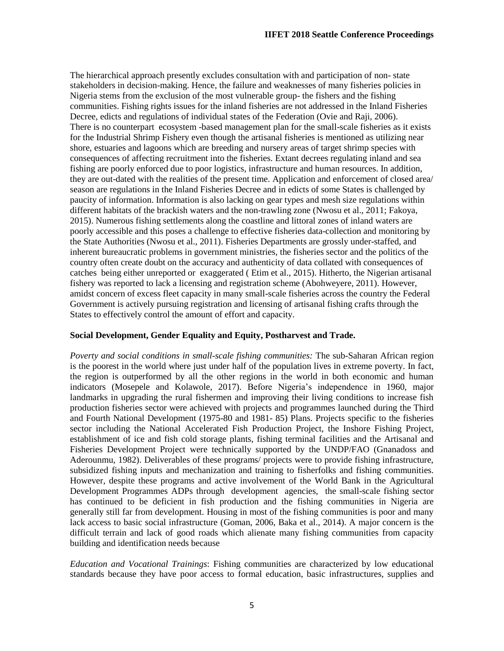The hierarchical approach presently excludes consultation with and participation of non- state stakeholders in decision-making. Hence, the failure and weaknesses of many fisheries policies in Nigeria stems from the exclusion of the most vulnerable group- the fishers and the fishing communities. Fishing rights issues for the inland fisheries are not addressed in the Inland Fisheries Decree, edicts and regulations of individual states of the Federation (Ovie and Raji, 2006). There is no counterpart ecosystem -based management plan for the small-scale fisheries as it exists for the Industrial Shrimp Fishery even though the artisanal fisheries is mentioned as utilizing near shore, estuaries and lagoons which are breeding and nursery areas of target shrimp species with consequences of affecting recruitment into the fisheries. Extant decrees regulating inland and sea fishing are poorly enforced due to poor logistics, infrastructure and human resources. In addition, they are out-dated with the realities of the present time. Application and enforcement of closed area/ season are regulations in the Inland Fisheries Decree and in edicts of some States is challenged by paucity of information. Information is also lacking on gear types and mesh size regulations within different habitats of the brackish waters and the non-trawling zone (Nwosu et al., 2011; Fakoya, 2015). Numerous fishing settlements along the coastline and littoral zones of inland waters are poorly accessible and this poses a challenge to effective fisheries data-collection and monitoring by the State Authorities (Nwosu et al., 2011). Fisheries Departments are grossly under-staffed, and inherent bureaucratic problems in government ministries, the fisheries sector and the politics of the country often create doubt on the accuracy and authenticity of data collated with consequences of catches being either unreported or exaggerated ( Etim et al., 2015). Hitherto, the Nigerian artisanal fishery was reported to lack a licensing and registration scheme (Abohweyere, 2011). However, amidst concern of excess fleet capacity in many small-scale fisheries across the country the Federal Government is actively pursuing registration and licensing of artisanal fishing crafts through the States to effectively control the amount of effort and capacity.

# **Social Development, Gender Equality and Equity, Postharvest and Trade.**

*Poverty and social conditions in small-scale fishing communities:* The sub-Saharan African region is the poorest in the world where just under half of the population lives in extreme poverty. In fact, the region is outperformed by all the other regions in the world in both economic and human indicators (Mosepele and Kolawole, 2017). Before Nigeria's independence in 1960, major landmarks in upgrading the rural fishermen and improving their living conditions to increase fish production fisheries sector were achieved with projects and programmes launched during the Third and Fourth National Development (1975-80 and 1981- 85) Plans. Projects specific to the fisheries sector including the National Accelerated Fish Production Project, the Inshore Fishing Project, establishment of ice and fish cold storage plants, fishing terminal facilities and the Artisanal and Fisheries Development Project were technically supported by the UNDP/FAO (Gnanadoss and Aderounmu, 1982). Deliverables of these programs/ projects were to provide fishing infrastructure, subsidized fishing inputs and mechanization and training to fisherfolks and fishing communities. However, despite these programs and active involvement of the World Bank in the Agricultural Development Programmes ADPs through development agencies, the small-scale fishing sector has continued to be deficient in fish production and the fishing communities in Nigeria are generally still far from development. Housing in most of the fishing communities is poor and many lack access to basic social infrastructure (Goman, 2006, Baka et al., 2014). A major concern is the difficult terrain and lack of good roads which alienate many fishing communities from capacity building and identification needs because

*Education and Vocational Trainings*: Fishing communities are characterized by low educational standards because they have poor access to formal education, basic infrastructures, supplies and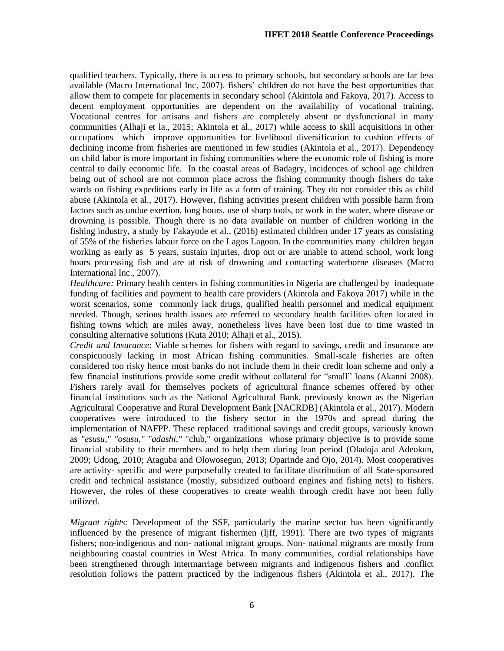qualified teachers. Typically, there is access to primary schools, but secondary schools are far less available (Macro International Inc, 2007). fishers' children do not have the best opportunities that allow them to compete for placements in secondary school (Akintola and Fakoya, 2017). Access to decent employment opportunities are dependent on the availability of vocational training. Vocational centres for artisans and fishers are completely absent or dysfunctional in many communities (Alhaji et la., 2015; Akintola et al., 2017) while access to skill acquisitions in other occupations which improve opportunities for livelihood diversification to cushion effects of declining income from fisheries are mentioned in few studies (Akintola et al., 2017). Dependency on child labor is more important in fishing communities where the economic role of fishing is more central to daily economic life. In the coastal areas of Badagry, incidences of school age children being out of school are not common place across the fishing community though fishers do take wards on fishing expeditions early in life as a form of training. They do not consider this as child abuse (Akintola et al., 2017). However, fishing activities present children with possible harm from factors such as undue exertion, long hours, use of sharp tools, or work in the water, where disease or drowning is possible. Though there is no data available on number of children working in the fishing industry, a study by Fakayode et al., (2016) estimated children under 17 years as consisting of 55% of the fisheries labour force on the Lagos Lagoon. In the communities many children began working as early as 5 years, sustain injuries, drop out or are unable to attend school, work long hours processing fish and are at risk of drowning and contacting waterborne diseases (Macro International Inc., 2007).

*Healthcare:* Primary health centers in fishing communities in Nigeria are challenged by inadequate funding of facilities and payment to health care providers (Akintola and Fakoya 2017) while in the worst scenarios, some commonly lack drugs, qualified health personnel and medical equipment needed. Though, serious health issues are referred to secondary health facilities often located in fishing towns which are miles away, nonetheless lives have been lost due to time wasted in consulting alternative solutions (Kuta 2010; Alhaji et al., 2015).

*Credit and Insurance*: Viable schemes for fishers with regard to savings, credit and insurance are conspicuously lacking in most African fishing communities. Small-scale fisheries are often considered too risky hence most banks do not include them in their credit loan scheme and only a few financial institutions provide some credit without collateral for "small" loans (Akanni 2008). Fishers rarely avail for themselves pockets of agricultural finance schemes offered by other financial institutions such as the National Agricultural Bank, previously known as the Nigerian Agricultural Cooperative and Rural Development Bank [NACRDB] (Akintola et al., 2017). Modern cooperatives were introduced to the fishery sector in the 1970s and spread during the implementation of NAFPP. These replaced traditional savings and credit groups, variously known as *"esusu," "osusu," "adashi,"* "club," organizations whose primary objective is to provide some financial stability to their members and to help them during lean period (Oladoja and Adeokun, 2009; Udong, 2010; Ataguba and Olowosegun, 2013; Oparinde and Ojo, 2014). Most cooperatives are activity- specific and were purposefully created to facilitate distribution of all State-sponsored credit and technical assistance (mostly, subsidized outboard engines and fishing nets) to fishers. However, the roles of these cooperatives to create wealth through credit have not been fully utilized.

*Migrant rights:* Development of the SSF, particularly the marine sector has been significantly influenced by the presence of migrant fishermen (Ijff, 1991). There are two types of migrants fishers; non-indigenous and non- national migrant groups. Non- national migrants are mostly from neighbouring coastal countries in West Africa. In many communities, cordial relationships have been strengthened through intermarriage between migrants and indigenous fishers and .conflict resolution follows the pattern practiced by the indigenous fishers (Akintola et al., 2017). The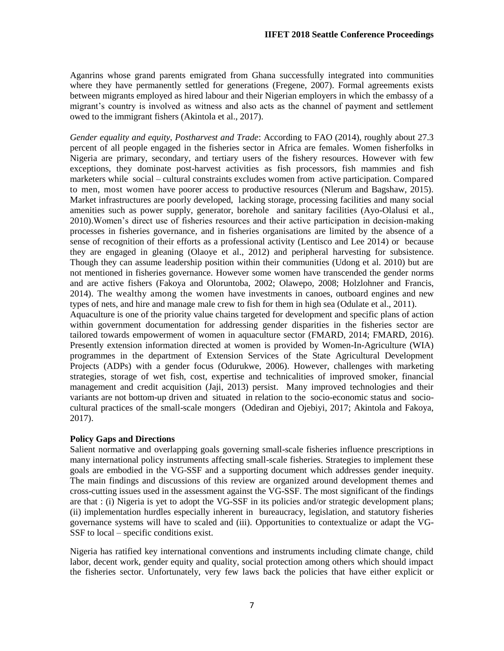Aganrins whose grand parents emigrated from Ghana successfully integrated into communities where they have permanently settled for generations (Fregene, 2007). Formal agreements exists between migrants employed as hired labour and their Nigerian employers in which the embassy of a migrant's country is involved as witness and also acts as the channel of payment and settlement owed to the immigrant fishers (Akintola et al., 2017).

*Gender equality and equity, Postharvest and Trade*: According to FAO (2014), roughly about 27.3 percent of all people engaged in the fisheries sector in Africa are females. Women fisherfolks in Nigeria are primary, secondary, and tertiary users of the fishery resources. However with few exceptions, they dominate post-harvest activities as fish processors, fish mammies and fish marketers while social – cultural constraints excludes women from active participation. Compared to men, most women have poorer access to productive resources (Nlerum and Bagshaw, 2015). Market infrastructures are poorly developed, lacking storage, processing facilities and many social amenities such as power supply, generator, borehole and sanitary facilities (Ayo-Olalusi et al., 2010).Women's direct use of fisheries resources and their active participation in decision-making processes in fisheries governance, and in fisheries organisations are limited by the absence of a sense of recognition of their efforts as a professional activity (Lentisco and Lee 2014) or because they are engaged in gleaning (Olaoye et al., 2012) and peripheral harvesting for subsistence. Though they can assume leadership position within their communities (Udong et al. 2010) but are not mentioned in fisheries governance. However some women have transcended the gender norms and are active fishers (Fakoya and Oloruntoba, 2002; Olawepo, 2008; Holzlohner and Francis, 2014). The wealthy among the women have investments in canoes, outboard engines and new types of nets, and hire and manage male crew to fish for them in high sea (Odulate et al., 2011). Aquaculture is one of the priority value chains targeted for development and specific plans of action within government documentation for addressing gender disparities in the fisheries sector are tailored towards empowerment of women in aquaculture sector (FMARD, 2014; FMARD, 2016). Presently extension information directed at women is provided by Women-In-Agriculture (WIA) programmes in the department of Extension Services of the State Agricultural Development Projects (ADPs) with a gender focus (Odurukwe, 2006). However, challenges with marketing strategies, storage of wet fish, cost, expertise and technicalities of improved smoker, financial management and credit acquisition (Jaji, 2013) persist. Many improved technologies and their variants are not bottom-up driven and situated in relation to the socio-economic status and sociocultural practices of the small-scale mongers (Odediran and Ojebiyi, 2017; Akintola and Fakoya, 2017).

# **Policy Gaps and Directions**

Salient normative and overlapping goals governing small-scale fisheries influence prescriptions in many international policy instruments affecting small-scale fisheries. Strategies to implement these goals are embodied in the VG-SSF and a supporting document which addresses gender inequity. The main findings and discussions of this review are organized around development themes and cross-cutting issues used in the assessment against the VG-SSF. The most significant of the findings are that : (i) Nigeria is yet to adopt the VG-SSF in its policies and/or strategic development plans; (ii) implementation hurdles especially inherent in bureaucracy, legislation, and statutory fisheries governance systems will have to scaled and (iii). Opportunities to contextualize or adapt the VG-SSF to local – specific conditions exist.

Nigeria has ratified key international conventions and instruments including climate change, child labor, decent work, gender equity and quality, social protection among others which should impact the fisheries sector. Unfortunately, very few laws back the policies that have either explicit or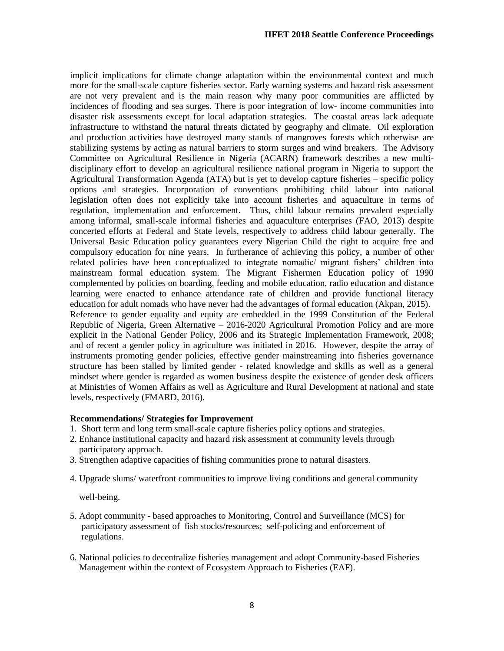implicit implications for climate change adaptation within the environmental context and much more for the small-scale capture fisheries sector. Early warning systems and hazard risk assessment are not very prevalent and is the main reason why many poor communities are afflicted by incidences of flooding and sea surges. There is poor integration of low- income communities into disaster risk assessments except for local adaptation strategies. The coastal areas lack adequate infrastructure to withstand the natural threats dictated by geography and climate. Oil exploration and production activities have destroyed many stands of mangroves forests which otherwise are stabilizing systems by acting as natural barriers to storm surges and wind breakers. The Advisory Committee on Agricultural Resilience in Nigeria (ACARN) framework describes a new multidisciplinary effort to develop an agricultural resilience national program in Nigeria to support the Agricultural Transformation Agenda (ATA) but is yet to develop capture fisheries – specific policy options and strategies. Incorporation of conventions prohibiting child labour into national legislation often does not explicitly take into account fisheries and aquaculture in terms of regulation, implementation and enforcement. Thus, child labour remains prevalent especially among informal, small-scale informal fisheries and aquaculture enterprises (FAO, 2013) despite concerted efforts at Federal and State levels, respectively to address child labour generally. The Universal Basic Education policy guarantees every Nigerian Child the right to acquire free and compulsory education for nine years. In furtherance of achieving this policy, a number of other related policies have been conceptualized to integrate nomadic/ migrant fishers' children into mainstream formal education system. The Migrant Fishermen Education policy of 1990 complemented by policies on boarding, feeding and mobile education, radio education and distance learning were enacted to enhance attendance rate of children and provide functional literacy education for adult nomads who have never had the advantages of formal education (Akpan, 2015). Reference to gender equality and equity are embedded in the 1999 Constitution of the Federal Republic of Nigeria, Green Alternative – 2016-2020 Agricultural Promotion Policy and are more explicit in the National Gender Policy, 2006 and its Strategic Implementation Framework, 2008; and of recent a gender policy in agriculture was initiated in 2016. However, despite the array of instruments promoting gender policies, effective gender mainstreaming into fisheries governance structure has been stalled by limited gender - related knowledge and skills as well as a general mindset where gender is regarded as women business despite the existence of gender desk officers at Ministries of Women Affairs as well as Agriculture and Rural Development at national and state levels, respectively (FMARD, 2016).

# **Recommendations/ Strategies for Improvement**

- 1. Short term and long term small-scale capture fisheries policy options and strategies.
- 2. Enhance institutional capacity and hazard risk assessment at community levels through participatory approach.
- 3. Strengthen adaptive capacities of fishing communities prone to natural disasters.
- 4. Upgrade slums/ waterfront communities to improve living conditions and general community

well-being.

- 5. Adopt community based approaches to Monitoring, Control and Surveillance (MCS) for participatory assessment of fish stocks/resources; self-policing and enforcement of regulations.
- 6. National policies to decentralize fisheries management and adopt Community-based Fisheries Management within the context of Ecosystem Approach to Fisheries (EAF).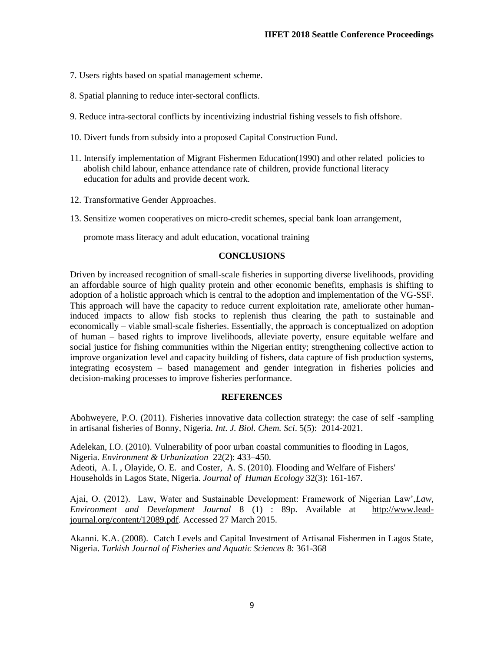- 7. Users rights based on spatial management scheme.
- 8. Spatial planning to reduce inter-sectoral conflicts.
- 9. Reduce intra-sectoral conflicts by incentivizing industrial fishing vessels to fish offshore.
- 10. Divert funds from subsidy into a proposed Capital Construction Fund.
- 11. Intensify implementation of Migrant Fishermen Education(1990) and other related policies to abolish child labour, enhance attendance rate of children, provide functional literacy education for adults and provide decent work.
- 12. Transformative Gender Approaches.
- 13. Sensitize women cooperatives on micro-credit schemes, special bank loan arrangement,

promote mass literacy and adult education, vocational training

# **CONCLUSIONS**

Driven by increased recognition of small-scale fisheries in supporting diverse livelihoods, providing an affordable source of high quality protein and other economic benefits, emphasis is shifting to adoption of a holistic approach which is central to the adoption and implementation of the VG-SSF. This approach will have the capacity to reduce current exploitation rate, ameliorate other humaninduced impacts to allow fish stocks to replenish thus clearing the path to sustainable and economically – viable small-scale fisheries. Essentially, the approach is conceptualized on adoption of human – based rights to improve livelihoods, alleviate poverty, ensure equitable welfare and social justice for fishing communities within the Nigerian entity; strengthening collective action to improve organization level and capacity building of fishers, data capture of fish production systems, integrating ecosystem – based management and gender integration in fisheries policies and decision-making processes to improve fisheries performance.

#### **REFERENCES**

Abohweyere, P.O. (2011). Fisheries innovative data collection strategy: the case of self -sampling in artisanal fisheries of Bonny, Nigeria*. Int. J. Biol. Chem. Sci*. 5(5): 2014-2021.

Adelekan, I.O. (2010). Vulnerability of poor urban coastal communities to flooding in Lagos, Nigeria. *Environment & Urbanization* 22(2): 433–450. Adeoti, A. I. , Olayide, O. E. and Coster, A. S. (2010). Flooding and Welfare of Fishers' Households in Lagos State, Nigeria. *Journal of Human Ecology* 32(3): 161-167.

Ajai, O. (2012). Law, Water and Sustainable Development: Framework of Nigerian Law',*Law, Environment and Development Journal* 8 (1) : 89p. Available at [http://www.lead](http://www.lead-journal.org/content/12089.pdf)[journal.org/content/12089.pdf.](http://www.lead-journal.org/content/12089.pdf) Accessed 27 March 2015.

Akanni. K.A. (2008). Catch Levels and Capital Investment of Artisanal Fishermen in Lagos State, Nigeria. *Turkish Journal of Fisheries and Aquatic Sciences* 8: 361-368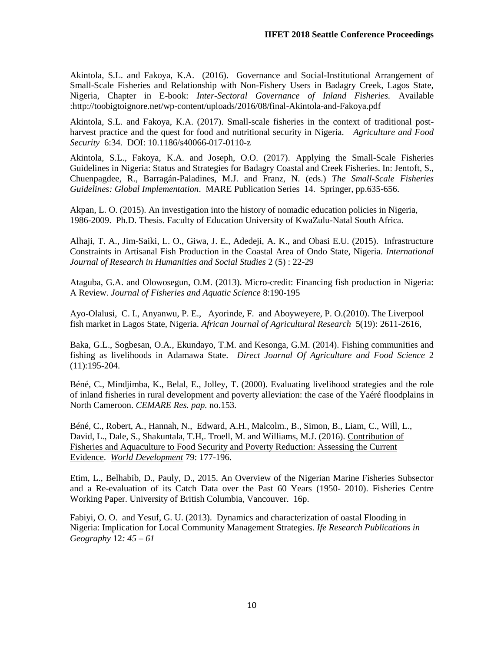Akintola, S.L. and Fakoya, K.A. (2016). Governance and Social-Institutional Arrangement of Small-Scale Fisheries and Relationship with Non-Fishery Users in Badagry Creek, Lagos State, Nigeria, Chapter in E-book: *Inter-Sectoral Governance of Inland Fisheries.* Available :http://toobigtoignore.net/wp-content/uploads/2016/08/final-Akintola-and-Fakoya.pdf

Akintola, S.L. and Fakoya, K.A. (2017). Small-scale fisheries in the context of traditional postharvest practice and the quest for food and nutritional security in Nigeria. *Agriculture and Food Security* 6:34*.* DOI: 10.1186/s40066-017-0110-z

Akintola, S.L., Fakoya, K.A. and Joseph, O.O. (2017). Applying the Small-Scale Fisheries Guidelines in Nigeria: Status and Strategies for Badagry Coastal and Creek Fisheries. In: Jentoft, S., Chuenpagdee, R., Barragán-Paladines, M.J. and Franz, N. (eds.) *The Small-Scale Fisheries Guidelines: Global Implementation*. MARE Publication Series 14. Springer, pp.635-656.

Akpan, L. O. (2015). An investigation into the history of nomadic education policies in Nigeria, 1986-2009. Ph.D. Thesis. Faculty of Education University of KwaZulu-Natal South Africa.

Alhaji, T. A., Jim-Saiki, L. O., Giwa, J. E., Adedeji, A. K., and Obasi E.U. (2015). Infrastructure Constraints in Artisanal Fish Production in the Coastal Area of Ondo State, Nigeria. *International Journal of Research in Humanities and Social Studies* 2 (5) : 22-29

Ataguba, G.A. and Olowosegun, O.M. (2013). Micro-credit: Financing fish production in Nigeria: A Review. *Journal of Fisheries and Aquatic Science* 8:190-195

Ayo-Olalusi, C. I., Anyanwu, P. E., Ayorinde, F. and Aboyweyere, P. O.(2010). The Liverpool fish market in Lagos State, Nigeria. *African Journal of Agricultural Research* 5(19): 2611-2616,

Baka, G.L., Sogbesan, O.A., Ekundayo, T.M. and Kesonga, G.M. (2014). Fishing communities and fishing as livelihoods in Adamawa State. *Direct Journal Of Agriculture and Food Science* 2 (11):195-204.

Béné, C., Mindjimba, K., Belal, E., Jolley, T. (2000). Evaluating livelihood strategies and the role of inland fisheries in rural development and poverty alleviation: the case of the Yaéré floodplains in North Cameroon. *CEMARE Res. pap.* no.153.

Béné, C., Robert, A., Hannah, N., Edward, A.H., Malcolm., B., Simon, B., Liam, C., Will, L., David, L., Dale, S., Shakuntala, T.H,. Troell, M. and Williams, M.J. (2016). [Contribution of](https://ideas.repec.org/a/eee/wdevel/v79y2016icp177-196.html)  [Fisheries and Aquaculture to Food Security and Poverty Reduction: Assessing the Current](https://ideas.repec.org/a/eee/wdevel/v79y2016icp177-196.html)  [Evidence.](https://ideas.repec.org/a/eee/wdevel/v79y2016icp177-196.html) *[World Development](https://ideas.repec.org/s/eee/wdevel.html)* 79: 177-196.

Etim, L., Belhabib, D., Pauly, D., 2015. An Overview of the Nigerian Marine Fisheries Subsector and a Re-evaluation of its Catch Data over the Past 60 Years (1950- 2010). Fisheries Centre Working Paper. University of British Columbia, Vancouver. 16p.

Fabiyi, O. O. and Yesuf, G. U. (2013). Dynamics and characterization of oastal Flooding in Nigeria: Implication for Local Community Management Strategies. *Ife Research Publications in Geography* 12*: 45 – 61*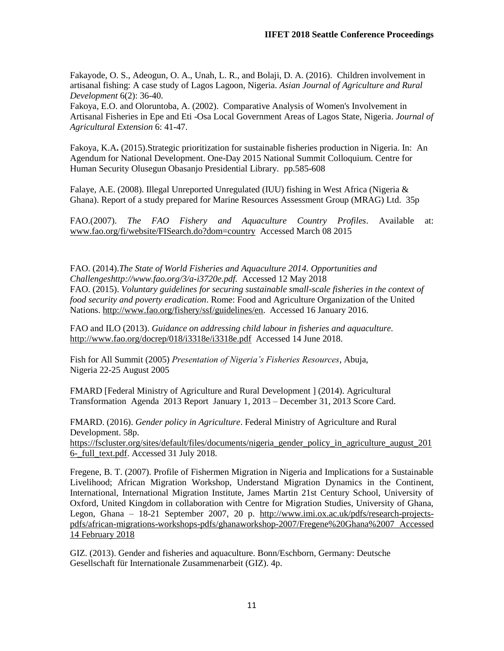Fakayode, O. S., Adeogun, O. A., Unah, L. R., and Bolaji, D. A. (2016). Children involvement in artisanal fishing: A case study of Lagos Lagoon, Nigeria. *Asian Journal of Agriculture and Rural Development* 6(2): 36-40.

Fakoya, E.O. and Oloruntoba, A. (2002). Comparative Analysis of Women's Involvement in Artisanal Fisheries in Epe and Eti -Osa Local Government Areas of Lagos State, Nigeria. *Journal of Agricultural Extension* 6: 41-47.

Fakoya, K.A**.** (2015).Strategic prioritization for sustainable fisheries production in Nigeria. In: An Agendum for National Development. One-Day 2015 National Summit Colloquium. Centre for Human Security Olusegun Obasanjo Presidential Library*.* pp.585-608

Falaye, A.E. (2008). Illegal Unreported Unregulated (IUU) fishing in West Africa (Nigeria & Ghana). Report of a study prepared for Marine Resources Assessment Group (MRAG) Ltd. 35p

FAO.(2007). *The FAO Fishery and Aquaculture Country Profiles*. Available at: [www.fao.org/fi/website/FISearch.do?dom=country](http://www.fao.org/fi/website/FISearch.do?dom=country) Accessed March 08 2015

FAO. (2014).*The State of World Fisheries and Aquaculture 2014. Opportunities and Challengeshttp://www.fao.org/3/a-i3720e.pdf.* Accessed 12 May 2018 FAO. (2015). *Voluntary guidelines for securing sustainable small-scale fisheries in the context of food security and poverty eradication*. Rome: Food and Agriculture Organization of the United Nations. [http://www.fao.org/fishery/ssf/guidelines/en.](http://www.fao.org/fishery/ssf/guidelines/en) Accessed 16 January 2016.

FAO and ILO (2013). *Guidance on addressing child labour in fisheries and aquaculture.* <http://www.fao.org/docrep/018/i3318e/i3318e.pdf>Accessed 14 June 2018.

Fish for All Summit (2005) *Presentation of Nigeria's Fisheries Resources*, Abuja, Nigeria 22-25 August 2005

FMARD [Federal Ministry of Agriculture and Rural Development ] (2014). Agricultural Transformation Agenda 2013 Report January 1, 2013 – December 31, 2013 Score Card.

FMARD. (2016). *Gender policy in Agriculture*. Federal Ministry of Agriculture and Rural Development. 58p.

[https://fscluster.org/sites/default/files/documents/nigeria\\_gender\\_policy\\_in\\_agriculture\\_august\\_201](https://fscluster.org/sites/default/files/documents/nigeria_gender_policy_in_agriculture_august_2016-_full_text.pdf) [6-\\_full\\_text.pdf.](https://fscluster.org/sites/default/files/documents/nigeria_gender_policy_in_agriculture_august_2016-_full_text.pdf) Accessed 31 July 2018.

Fregene, B. T. (2007). Profile of Fishermen Migration in Nigeria and Implications for a Sustainable Livelihood; African Migration Workshop, Understand Migration Dynamics in the Continent, International, International Migration Institute, James Martin 21st Century School, University of Oxford, United Kingdom in collaboration with Centre for Migration Studies, University of Ghana, Legon, Ghana – 18-21 September 2007, 20 p. [http://www.imi.ox.ac.uk/pdfs/research-projects](http://www.imi.ox.ac.uk/pdfs/research-projects-pdfs/african-migrations-workshops-pdfs/ghanaworkshop-2007/Fregene%20Ghana%2007)[pdfs/african-migrations-workshops-pdfs/ghanaworkshop-2007/Fregene%20Ghana%2007](http://www.imi.ox.ac.uk/pdfs/research-projects-pdfs/african-migrations-workshops-pdfs/ghanaworkshop-2007/Fregene%20Ghana%2007) Accessed 14 February 2018

GIZ. (2013). Gender and fisheries and aquaculture. Bonn/Eschborn, Germany: Deutsche Gesellschaft für Internationale Zusammenarbeit (GIZ). 4p.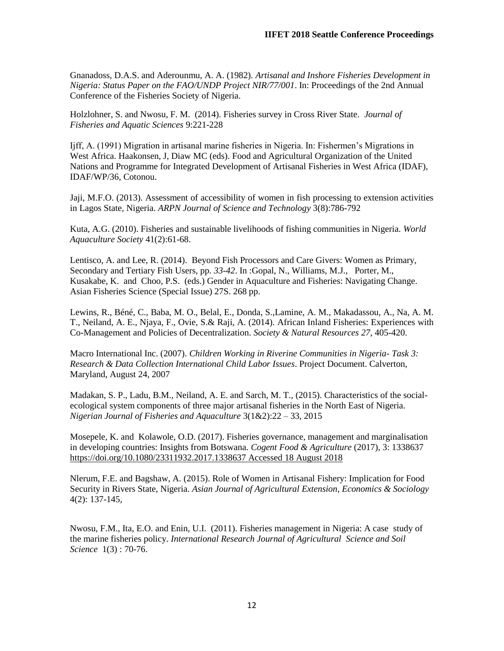Gnanadoss, D.A.S. and Aderounmu, A. A. (1982). *Artisanal and Inshore Fisheries Development in Nigeria: Status Paper on the FAO/UNDP Project NIR/77/001*. In: Proceedings of the 2nd Annual Conference of the Fisheries Society of Nigeria.

Holzlohner, S. and Nwosu, F. M. (2014). Fisheries survey in Cross River State. *Journal of Fisheries and Aquatic Sciences* 9:221-228

Ijff, A. (1991) Migration in artisanal marine fisheries in Nigeria. In: Fishermen's Migrations in West Africa. Haakonsen, J, Diaw MC (eds). Food and Agricultural Organization of the United Nations and Programme for Integrated Development of Artisanal Fisheries in West Africa (IDAF), IDAF/WP/36, Cotonou.

Jaji, M.F.O. (2013). Assessment of accessibility of women in fish processing to extension activities in Lagos State, Nigeria. *ARPN Journal of Science and Technology* 3(8):786-792

Kuta, A.G. (2010). Fisheries and sustainable livelihoods of fishing communities in Nigeria*. World Aquaculture Society* 41(2):61-68.

Lentisco, A. and Lee, R. (2014). Beyond Fish Processors and Care Givers: Women as Primary, Secondary and Tertiary Fish Users, pp. *33-42*. In :Gopal, N., Williams, M.J., Porter, M., Kusakabe, K. and Choo, P.S. (eds.) Gender in Aquaculture and Fisheries: Navigating Change. Asian Fisheries Science (Special Issue) 27S. 268 pp.

Lewins, R., Béné, C., Baba, M. O., Belal, E., Donda, S.,Lamine, A. M., Makadassou, A., Na, A. M. T., Neiland, A. E., Njaya, F., Ovie, S.& Raji, A. (2014). African Inland Fisheries: Experiences with Co-Management and Policies of Decentralization. *Society & Natural Resources 27*, 405-420.

Macro International Inc. (2007). *Children Working in Riverine Communities in Nigeria- Task 3: Research & Data Collection International Child Labor Issues*. Project Document. Calverton, Maryland, August 24, 2007

Madakan, S. P., Ladu, B.M., Neiland, A. E. and Sarch, M. T., (2015). Characteristics of the socialecological system components of three major artisanal fisheries in the North East of Nigeria. *Nigerian Journal of Fisheries and Aquaculture* 3(1&2):22 – 33, 2015

Mosepele, K. and Kolawole, O.D. (2017). Fisheries governance, management and marginalisation in developing countries: Insights from Botswana. *Cogent Food & Agriculture* (2017), 3: 1338637 [https://doi.org/10.1080/23311932.2017.1338637 Accessed 18 August 2018](https://doi.org/10.1080/23311932.2017.1338637%20Accessed%2018%20August%202018)

Nlerum, F.E. and Bagshaw, A. (2015). Role of Women in Artisanal Fishery: Implication for Food Security in Rivers State, Nigeria. *Asian Journal of Agricultural Extension, Economics & Sociology* 4(2): 137-145,

Nwosu, F.M., Ita, E.O. and Enin, U.I. (2011). Fisheries management in Nigeria: A case study of the marine fisheries policy. *International Research Journal of Agricultural Science and Soil Science* 1(3) : 70-76.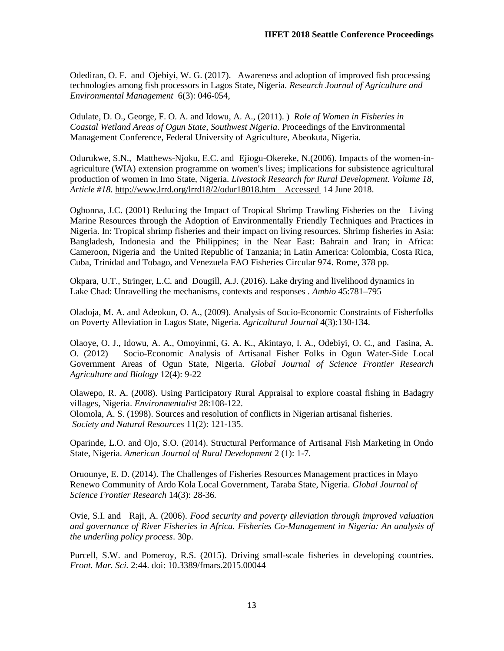Odediran, O. F. and Ojebiyi, W. G. (2017). Awareness and adoption of improved fish processing technologies among fish processors in Lagos State, Nigeria. *Research Journal of Agriculture and Environmental Management* 6(3): 046-054,

Odulate, D. O., George, F. O. A. and Idowu, A. A., (2011). ) *Role of Women in Fisheries in Coastal Wetland Areas of Ogun State, Southwest Nigeria*. Proceedings of the Environmental Management Conference, Federal University of Agriculture, Abeokuta, Nigeria.

Odurukwe, S.N., Matthews-Njoku, E.C. and Ejiogu-Okereke, N.(2006). Impacts of the women-inagriculture (WIA) extension programme on women's lives; implications for subsistence agricultural production of women in Imo State, Nigeria. *Livestock Research for Rural Development. Volume 18, Article #18.* <http://www.lrrd.org/lrrd18/2/odur18018.htm>Accessed 14 June 2018.

Ogbonna, J.C. (2001) Reducing the Impact of Tropical Shrimp Trawling Fisheries on the Living Marine Resources through the Adoption of Environmentally Friendly Techniques and Practices in Nigeria. In: Tropical shrimp fisheries and their impact on living resources. Shrimp fisheries in Asia: Bangladesh, Indonesia and the Philippines; in the Near East: Bahrain and Iran; in Africa: Cameroon, Nigeria and the United Republic of Tanzania; in Latin America: Colombia, Costa Rica, Cuba, Trinidad and Tobago, and Venezuela FAO Fisheries Circular 974. Rome, 378 pp.

Okpara, U.T., Stringer, L.C. and Dougill, A.J. (2016). Lake drying and livelihood dynamics in Lake Chad: Unravelling the mechanisms, contexts and responses . *Ambio* 45:781–795

Oladoja, M. A. and Adeokun, O. A., (2009). Analysis of Socio-Economic Constraints of Fisherfolks on Poverty Alleviation in Lagos State, Nigeria. *Agricultural Journal* 4(3):130-134.

Olaoye, O. J., Idowu, A. A., Omoyinmi, G. A. K., Akintayo, I. A., Odebiyi, O. C., and Fasina, A. O. (2012) Socio-Economic Analysis of Artisanal Fisher Folks in Ogun Water-Side Local Government Areas of Ogun State, Nigeria. *Global Journal of Science Frontier Research Agriculture and Biology* 12(4): 9-22

Olawepo, R. A. (2008). Using Participatory Rural Appraisal to explore coastal fishing in Badagry villages, Nigeria. *Environmentalist* 28:108-122. Olomola, A. S. (1998). Sources and resolution of conflicts in Nigerian artisanal fisheries. *Society and Natural Resources* 11(2): 121-135.

Oparinde, L.O. and Ojo, S.O. (2014). Structural Performance of Artisanal Fish Marketing in Ondo State, Nigeria. *American Journal of Rural Development* 2 (1): 1-7.

Oruounye, E. D. (2014). The Challenges of Fisheries Resources Management practices in Mayo Renewo Community of Ardo Kola Local Government, Taraba State, Nigeria. *Global Journal of Science Frontier Research* 14(3): 28-36*.* 

Ovie, S.I. and Raji, A. (2006). *Food security and poverty alleviation through improved valuation and governance of River Fisheries in Africa. Fisheries Co-Management in Nigeria: An analysis of the underling policy process*. 30p.

Purcell, S.W. and Pomeroy, R.S. (2015). Driving small-scale fisheries in developing countries. *Front. Mar. Sci.* 2:44. doi: 10.3389/fmars.2015.00044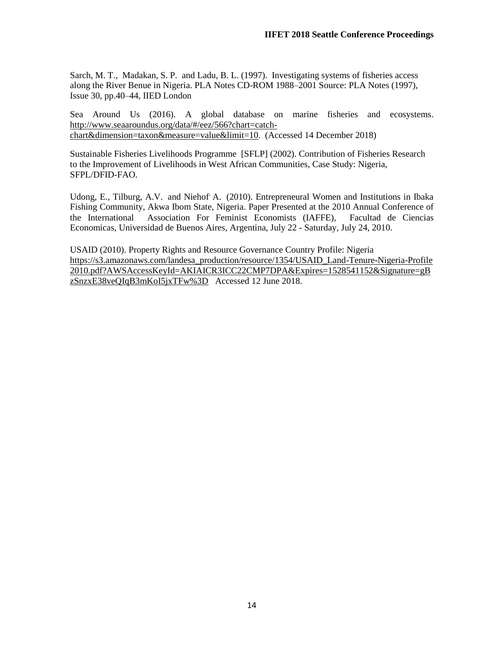Sarch, M. T., Madakan, S. P. and Ladu, B. L. (1997). Investigating systems of fisheries access along the River Benue in Nigeria. PLA Notes CD-ROM 1988–2001 Source: PLA Notes (1997), Issue 30, pp.40–44, IIED London

Sea Around Us (2016). A global database on marine fisheries and ecosystems. [http://www.seaaroundus.org/data/#/eez/566?chart=catch](http://www.seaaroundus.org/data/#/eez/566?chart=catch-chart&dimension=taxon&measure=value&limit=10)[chart&dimension=taxon&measure=value&limit=10.](http://www.seaaroundus.org/data/#/eez/566?chart=catch-chart&dimension=taxon&measure=value&limit=10) (Accessed 14 December 2018)

Sustainable Fisheries Livelihoods Programme [SFLP] (2002). Contribution of Fisheries Research to the Improvement of Livelihoods in West African Communities, Case Study: Nigeria, SFPL/DFID-FAO.

Udong, E., Tilburg, A.V. and Niehof A. (2010). Entrepreneural Women and Institutions in Ibaka Fishing Community, Akwa Ibom State, Nigeria. Paper Presented at the 2010 Annual Conference of the International Association For Feminist Economists (IAFFE), Facultad de Ciencias Economicas, Universidad de Buenos Aires, Argentina, July 22 - Saturday, July 24, 2010.

USAID (2010). Property Rights and Resource Governance Country Profile: Nigeria [https://s3.amazonaws.com/landesa\\_production/resource/1354/USAID\\_Land-Tenure-Nigeria-Profile](https://s3.amazonaws.com/landesa_production/resource/1354/USAID_Land-Tenure-Nigeria-Profile%202010.pdf?AWSAccessKeyId=AKIAICR3ICC22CMP7DPA&Expires=1528541152&Signature=gBzSnzxE38veQIqB3mKoI5jxTFw%3D)  [2010.pdf?AWSAccessKeyId=AKIAICR3ICC22CMP7DPA&Expires=1528541152&Signature=gB](https://s3.amazonaws.com/landesa_production/resource/1354/USAID_Land-Tenure-Nigeria-Profile%202010.pdf?AWSAccessKeyId=AKIAICR3ICC22CMP7DPA&Expires=1528541152&Signature=gBzSnzxE38veQIqB3mKoI5jxTFw%3D) [zSnzxE38veQIqB3mKoI5jxTFw%3D](https://s3.amazonaws.com/landesa_production/resource/1354/USAID_Land-Tenure-Nigeria-Profile%202010.pdf?AWSAccessKeyId=AKIAICR3ICC22CMP7DPA&Expires=1528541152&Signature=gBzSnzxE38veQIqB3mKoI5jxTFw%3D) Accessed 12 June 2018.